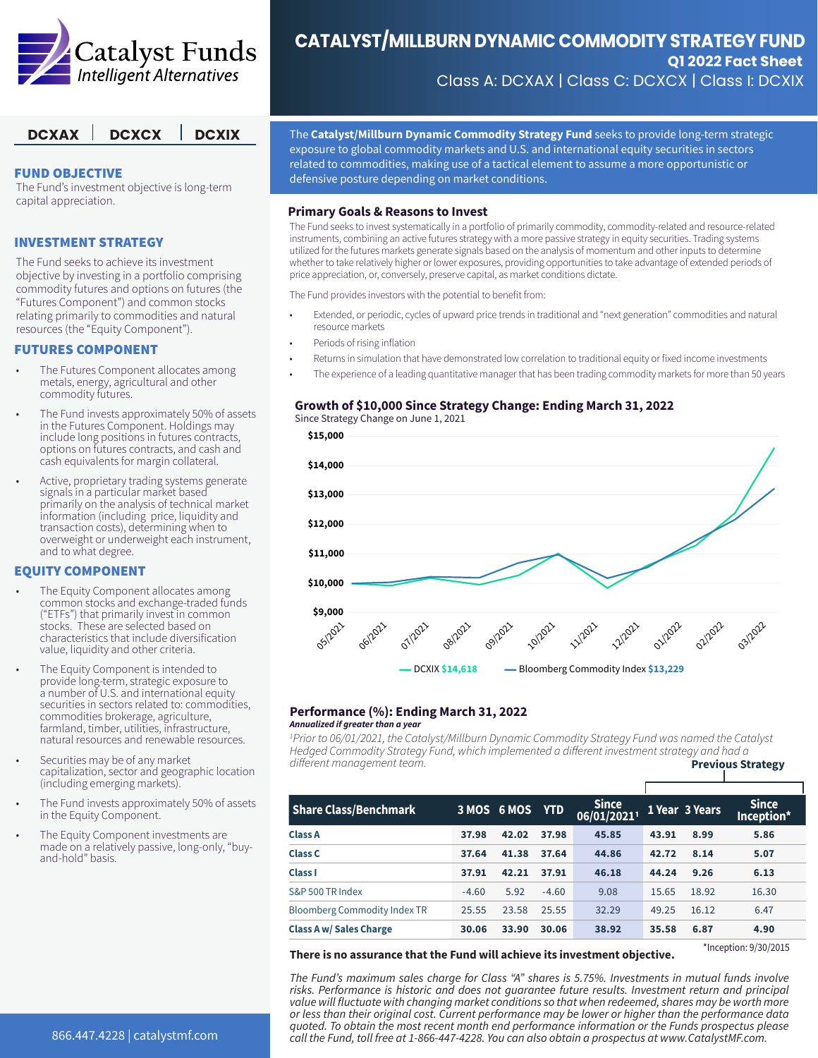

#### FUND OBJECTIVE

The Fund's investment objective is long-term capital appreciation.

#### INVESTMENT STRATEGY

The Fund seeks to achieve its investment objective by investing in a portfolio comprising commodity futures and options on futures (the "Futures Component") and common stocks relating primarily to commodities and natural resources (the "Equity Component").

#### FUTURES COMPONENT

- The Futures Component allocates among metals, energy, agricultural and other commodity futures.
- The Fund invests approximately 50% of assets in the Futures Component. Holdings may include long positions in futures contracts, options on futures contracts, and cash and cash equivalents for margin collateral.
- Active, proprietary trading systems generate signals in a particular market based primarily on the analysis of technical market information (including price, liquidity and transaction costs), determining when to overweight or underweight each instrument, and to what degree.

#### EQUITY COMPONENT

- The Equity Component allocates among common stocks and exchange-traded funds ("ETFs") that primarily invest in common stocks. These are selected based on characteristics that include diversification value, liquidity and other criteria.
- The Equity Component is intended to provide long-term, strategic exposure to a number of U.S. and international equity securities in sectors related to: commodities, commodities brokerage, agriculture, farmland, timber, utilities, infrastructure, natural resources and renewable resources.
- Securities may be of any market capitalization, sector and geographic location (including emerging markets).
- The Fund invests approximately 50% of assets in the Equity Component.
- The Equity Component investments are made on a relatively passive, long-only, "buyand-hold" basis.

# **CATALYST/MILLBURN DYNAMIC COMMODITY STRATEGY FUND Q1 2022 Fact Sheet**

Class A: DCXAX | Class C: DCXCX | Class I: DCXIX

**DCXAX** DCXCX DCXIX The Catalyst/Millburn Dynamic Commodity Strategy Fund seeks to provide long-term strategic exposure to global commodity markets and U.S. and international equity securities in sectors related to commodities, making use of a tactical element to assume a more opportunistic or defensive posture depending on market conditions.

#### **Primary Goals & Reasons to Invest**

The Fund seeks to invest systematically in a portfolio of primarily commodity, commodity-related and resource-related instruments, combining an active futures strategy with a more passive strategy in equity securities. Trading systems utilized for the futures markets generate signals based on the analysis of momentum and other inputs to determine whether to take relatively higher or lower exposures, providing opportunities to take advantage of extended periods of price appreciation, or, conversely, preserve capital, as market conditions dictate.

The Fund provides investors with the potential to benefit from:

- Extended, or periodic, cycles of upward price trends in traditional and "next generation" commodities and natural resource markets
- Periods of rising inflation
- Returns in simulation that have demonstrated low correlation to traditional equity or fixed income investments
- The experience of a leading quantitative manager that has been trading commodity markets for more than 50 years

#### **Growth of \$10,000 Since Strategy Change: Ending March 31, 2022** Since Strategy Change on June 1, 2021

**\$15,000**



#### **Performance (%): Ending March 31, 2022** *Annualized if greater than a year*

*1 Prior to 06/01/2021, the Catalyst/Millburn Dynamic Commodity Strategy Fund was named the Catalyst Hedged Commodity Strategy Fund, which implemented a different investment strategy and had a*  different management team. **Previous Strategy** 

| <b>Share Class/Benchmark</b>        |         | 3 MOS 6 MOS YTD |         | <b>Since</b><br>06/01/20211 |       | 1 Year 3 Years | <b>Since</b><br>Inception* |
|-------------------------------------|---------|-----------------|---------|-----------------------------|-------|----------------|----------------------------|
| <b>Class A</b>                      | 37.98   | 42.02           | 37.98   | 45.85                       | 43.91 | 8.99           | 5.86                       |
| <b>Class C</b>                      | 37.64   | 41.38           | 37.64   | 44.86                       | 42.72 | 8.14           | 5.07                       |
| <b>Class I</b>                      | 37.91   | 42.21           | 37.91   | 46.18                       | 44.24 | 9.26           | 6.13                       |
| S&P 500 TR Index                    | $-4.60$ | 5.92            | $-4.60$ | 9.08                        | 15.65 | 18.92          | 16.30                      |
| <b>Bloomberg Commodity Index TR</b> | 25.55   | 23.58           | 25.55   | 32.29                       | 49.25 | 16.12          | 6.47                       |
| <b>Class A w/ Sales Charge</b>      | 30.06   | 33.90           | 30.06   | 38.92                       | 35.58 | 6.87           | 4.90                       |

**There is no assurance that the Fund will achieve its investment objective.**

\*Inception: 9/30/2015

*The Fund's maximum sales charge for Class "A" shares is 5.75%. Investments in mutual funds involve risks. Performance is historic and does not guarantee future results. Investment return and principal value will fluctuate with changing market conditions so that when redeemed, shares may be worth more or less than their original cost. Current performance may be lower or higher than the performance data quoted. To obtain the most recent month end performance information or the Funds prospectus please call the Fund, toll free at 1-866-447-4228. You can also obtain a prospectus at www.CatalystMF.com.*